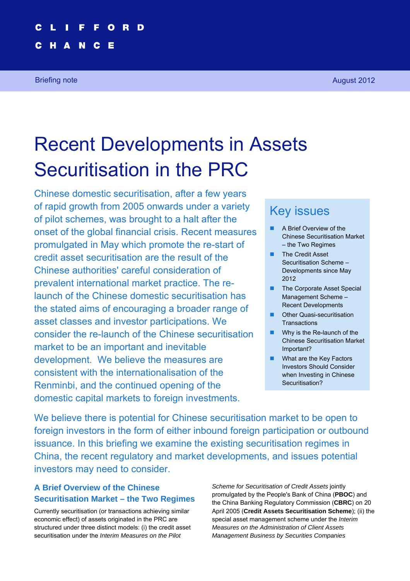#### $\mathbf{o}$ R.

Е

N

H

A

Briefing note August 2012

# Recent Developments in Assets Securitisation in the PRC

Chinese domestic securitisation, after a few years of rapid growth from 2005 onwards under a variety of pilot schemes, was brought to a halt after the onset of the global financial crisis. Recent measures promulgated in May which promote the re-start of credit asset securitisation are the result of the Chinese authorities' careful consideration of prevalent international market practice. The relaunch of the Chinese domestic securitisation has the stated aims of encouraging a broader range of asset classes and investor participations. We consider the re-launch of the Chinese securitisation market to be an important and inevitable development. We believe the measures are consistent with the internationalisation of the Renminbi, and the continued opening of the domestic capital markets to foreign investments.

# Key issues

- A Brief Overview of the Chinese Securitisation Market – the Two Regimes
- **The Credit Asset** Securitisation Scheme – Developments since May 2012
- The Corporate Asset Special Management Scheme – Recent Developments
- Other Quasi-securitisation **Transactions**
- Why is the Re-launch of the Chinese Securitisation Market Important?
- **No. 3** What are the Key Factors Investors Should Consider when Investing in Chinese Securitisation?

We believe there is potential for Chinese securitisation market to be open to foreign investors in the form of either inbound foreign participation or outbound issuance. In this briefing we examine the existing securitisation regimes in China, the recent regulatory and market developments, and issues potential investors may need to consider.

## **A Brief Overview of the Chinese Securitisation Market – the Two Regimes**

Currently securitisation (or transactions achieving similar economic effect) of assets originated in the PRC are structured under three distinct models: (i) the credit asset securitisation under the *Interim Measures on the Pilot* 

*Scheme for Securitisation of Credit Assets* jointly promulgated by the People's Bank of China (**PBOC**) and the China Banking Regulatory Commission (**CBRC**) on 20 April 2005 (**Credit Assets Securitisation Scheme**); (ii) the special asset management scheme under the *Interim Measures on the Administration of Client Assets Management Business by Securities Companies*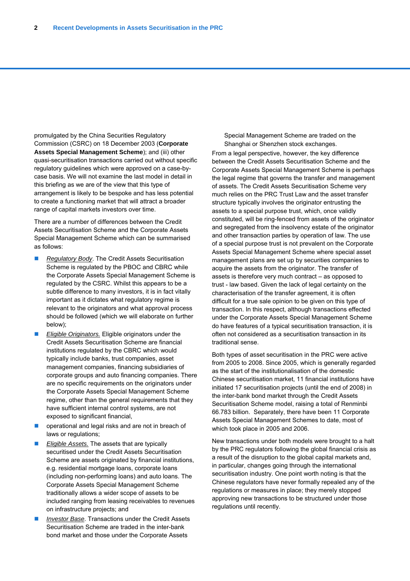promulgated by the China Securities Regulatory Commission (CSRC) on 18 December 2003 (**Corporate Assets Special Management Scheme**); and (iii) other quasi-securitisation transactions carried out without specific regulatory guidelines which were approved on a case-bycase basis. We will not examine the last model in detail in this briefing as we are of the view that this type of arrangement is likely to be bespoke and has less potential to create a functioning market that will attract a broader range of capital markets investors over time.

There are a number of differences between the Credit Assets Securitisation Scheme and the Corporate Assets Special Management Scheme which can be summarised as follows:

- *Regulatory Body*. The Credit Assets Securitisation Scheme is regulated by the PBOC and CBRC while the Corporate Assets Special Management Scheme is regulated by the CSRC. Whilst this appears to be a subtle difference to many investors, it is in fact vitally important as it dictates what regulatory regime is relevant to the originators and what approval process should be followed (which we will elaborate on further below);
- *Eligible Originators.* Eligible originators under the Credit Assets Securitisation Scheme are financial institutions regulated by the CBRC which would typically include banks, trust companies, asset management companies, financing subsidiaries of corporate groups and auto financing companies. There are no specific requirements on the originators under the Corporate Assets Special Management Scheme regime, other than the general requirements that they have sufficient internal control systems, are not exposed to significant financial,
- operational and legal risks and are not in breach of laws or regulations;
- *Eligible Assets.* The assets that are typically securitised under the Credit Assets Securitisation Scheme are assets originated by financial institutions, e.g. residential mortgage loans, corporate loans (including non-performing loans) and auto loans. The Corporate Assets Special Management Scheme traditionally allows a wider scope of assets to be included ranging from leasing receivables to revenues on infrastructure projects; and
- *Investor Base*. Transactions under the Credit Assets Securitisation Scheme are traded in the inter-bank bond market and those under the Corporate Assets

Special Management Scheme are traded on the Shanghai or Shenzhen stock exchanges.

From a legal perspective, however, the key difference between the Credit Assets Securitisation Scheme and the Corporate Assets Special Management Scheme is perhaps the legal regime that governs the transfer and management of assets. The Credit Assets Securitisation Scheme very much relies on the PRC Trust Law and the asset transfer structure typically involves the originator entrusting the assets to a special purpose trust, which, once validly constituted, will be ring-fenced from assets of the originator and segregated from the insolvency estate of the originator and other transaction parties by operation of law. The use of a special purpose trust is not prevalent on the Corporate Assets Special Management Scheme where special asset management plans are set up by securities companies to acquire the assets from the originator. The transfer of assets is therefore very much contract – as opposed to trust - law based. Given the lack of legal certainty on the characterisation of the transfer agreement, it is often difficult for a true sale opinion to be given on this type of transaction. In this respect, although transactions effected under the Corporate Assets Special Management Scheme do have features of a typical securitisation transaction, it is often not considered as a securitisation transaction in its traditional sense.

Both types of asset securitisation in the PRC were active from 2005 to 2008. Since 2005, which is generally regarded as the start of the institutionalisation of the domestic Chinese securitisation market, 11 financial institutions have initiated 17 securitisation projects (until the end of 2008) in the inter-bank bond market through the Credit Assets Securitisation Scheme model, raising a total of Renminbi 66.783 billion. Separately, there have been 11 Corporate Assets Special Management Schemes to date, most of which took place in 2005 and 2006.

New transactions under both models were brought to a halt by the PRC regulators following the global financial crisis as a result of the disruption to the global capital markets and, in particular, changes going through the international securitisation industry. One point worth noting is that the Chinese regulators have never formally repealed any of the regulations or measures in place; they merely stopped approving new transactions to be structured under those regulations until recently.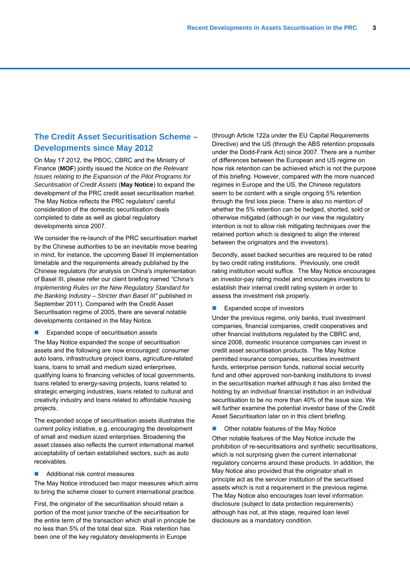#### **The Credit Asset Securitisation Scheme – Developments since May 2012**

On May 17 2012, the PBOC, CBRC and the Ministry of Finance (**MOF**) jointly issued the *Notice on the Relevant Issues relating to the Expansion of the Pilot Programs for Securitisation of Credit Assets* (**May Notice**) to expand the development of the PRC credit asset securitisation market. The May Notice reflects the PRC regulators' careful consideration of the domestic securitisation deals completed to date as well as global regulatory developments since 2007.

We consider the re-launch of the PRC securitisation market by the Chinese authorities to be an inevitable move bearing in mind, for instance, the upcoming Basel III implementation timetable and the requirements already published by the Chinese regulators (for analysis on China's implementation of Basel III, please refer our client briefing named *"China's Implementing Rules on the New Regulatory Standard for the Banking Industry – Stricter than Basel III"* published in September 2011). Compared with the Credit Asset Securitisation regime of 2005, there are several notable developments contained in the May Notice.

**EXpanded scope of securitisation assets** 

The May Notice expanded the scope of securitisation assets and the following are now encouraged: consumer auto loans, infrastructure project loans, agriculture-related loans, loans to small and medium sized enterprises, qualifying loans to financing vehicles of local governments, loans related to energy-saving projects, loans related to strategic emerging industries, loans related to cultural and creativity industry and loans related to affordable housing projects.

The expanded scope of securitisation assets illustrates the current policy initiative, e.g. encouraging the development of small and medium sized enterprises. Broadening the asset classes also reflects the current international market acceptability of certain established sectors, such as auto receivables.

■ Additional risk control measures

The May Notice introduced two major measures which aims to bring the scheme closer to current international practice.

First, the originator of the securitisation should retain a portion of the most junior tranche of the securitisation for the entire term of the transaction which shall in principle be no less than 5% of the total deal size. Risk retention has been one of the key regulatory developments in Europe

(through Article 122a under the EU Capital Requirements Directive) and the US (through the ABS retention proposals under the Dodd-Frank Act) since 2007. There are a number of differences between the European and US regime on how risk retention can be achieved which is not the purpose of this briefing. However, compared with the more nuanced regimes in Europe and the US, the Chinese regulators seem to be content with a single ongoing 5% retention through the first loss piece. There is also no mention of whether the 5% retention can be hedged, shorted, sold or otherwise mitigated (although in our view the regulatory intention is not to allow risk mitigating techniques over the retained portion which is designed to align the interest between the originators and the investors).

Secondly, asset backed securities are required to be rated by two credit rating institutions. Previously, one credit rating institution would suffice. The May Notice encourages an investor-pay rating model and encourages investors to establish their internal credit rating system in order to assess the investment risk properly.

Expanded scope of investors

Under the previous regime, only banks, trust investment companies, financial companies, credit cooperatives and other financial institutions regulated by the CBRC and, since 2008, domestic insurance companies can invest in credit asset securitisation products. The May Notice permitted insurance companies, securities investment funds, enterprise pension funds, national social security fund and other approved non-banking institutions to invest in the securitisation market although it has also limited the holding by an individual financial institution in an individual securitisation to be no more than 40% of the issue size. We will further examine the potential investor base of the Credit Asset Securitisation later on in this client briefing.

 Other notable features of the May Notice Other notable features of the May Notice include the prohibition of re-securitisations and synthetic securitisations, which is not surprising given the current international regulatory concerns around these products. In addition, the May Notice also provided that the originator shall in principle act as the servicer institution of the securitised assets which is not a requirement in the previous regime. The May Notice also encourages loan level information disclosure (subject to data protection requirements) although has not, at this stage, required loan level disclosure as a mandatory condition.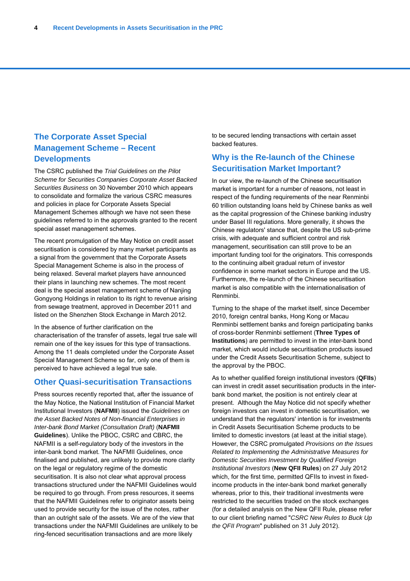#### **The Corporate Asset Special Management Scheme – Recent Developments**

The CSRC published the *Trial Guidelines on the Pilot Scheme for Securities Companies Corporate Asset Backed Securities Business* on 30 November 2010 which appears to consolidate and formalize the various CSRC measures and policies in place for Corporate Assets Special Management Schemes although we have not seen these guidelines referred to in the approvals granted to the recent special asset management schemes.

The recent promulgation of the May Notice on credit asset securitisation is considered by many market participants as a signal from the government that the Corporate Assets Special Management Scheme is also in the process of being relaxed. Several market players have announced their plans in launching new schemes. The most recent deal is the special asset management scheme of Nanjing Gongyong Holdings in relation to its right to revenue arising from sewage treatment, approved in December 2011 and listed on the Shenzhen Stock Exchange in March 2012.

In the absence of further clarification on the characterisation of the transfer of assets, legal true sale will remain one of the key issues for this type of transactions. Among the 11 deals completed under the Corporate Asset Special Management Scheme so far, only one of them is perceived to have achieved a legal true sale.

#### **Other Quasi-securitisation Transactions**

Press sources recently reported that, after the issuance of the May Notice, the National Institution of Financial Market Institutional Investors (**NAFMII**) issued the *Guidelines on the Asset Backed Notes of Non-financial Enterprises in Inter-bank Bond Market (Consultation Draft)* (**NAFMII Guidelines**). Unlike the PBOC, CSRC and CBRC, the NAFMII is a self-regulatory body of the investors in the inter-bank bond market. The NAFMII Guidelines, once finalised and published, are unlikely to provide more clarity on the legal or regulatory regime of the domestic securitisation. It is also not clear what approval process transactions structured under the NAFMII Guidelines would be required to go through. From press resources, it seems that the NAFMII Guidelines refer to originator assets being used to provide security for the issue of the notes, rather than an outright sale of the assets. We are of the view that transactions under the NAFMII Guidelines are unlikely to be ring-fenced securitisation transactions and are more likely

to be secured lending transactions with certain asset backed features.

#### **Why is the Re-launch of the Chinese Securitisation Market Important?**

In our view, the re-launch of the Chinese securitisation market is important for a number of reasons, not least in respect of the funding requirements of the near Renminbi 60 trillion outstanding loans held by Chinese banks as well as the capital progression of the Chinese banking industry under Basel III regulations. More generally, it shows the Chinese regulators' stance that, despite the US sub-prime crisis, with adequate and sufficient control and risk management, securitisation can still prove to be an important funding tool for the originators. This corresponds to the continuing albeit gradual return of investor confidence in some market sectors in Europe and the US. Furthermore, the re-launch of the Chinese securitisation market is also compatible with the internationalisation of Renminbi.

Turning to the shape of the market itself, since December 2010, foreign central banks, Hong Kong or Macau Renminbi settlement banks and foreign participating banks of cross-border Renminbi settlement (**Three Types of Institutions**) are permitted to invest in the inter-bank bond market, which would include securitisation products issued under the Credit Assets Securitisation Scheme, subject to the approval by the PBOC.

As to whether qualified foreign institutional investors (**QFIIs**) can invest in credit asset securitisation products in the interbank bond market, the position is not entirely clear at present. Although the May Notice did not specify whether foreign investors can invest in domestic securitisation, we understand that the regulators' intention is for investments in Credit Assets Securitisation Scheme products to be limited to domestic investors (at least at the initial stage). However, the CSRC promulgated *Provisions on the Issues Related to Implementing the Administrative Measures for Domestic Securities Investment by Qualified Foreign Institutional Investors* (**New QFII Rules**) on 27 July 2012 which, for the first time, permitted QFIIs to invest in fixedincome products in the inter-bank bond market generally whereas, prior to this, their traditional investments were restricted to the securities traded on the stock exchanges (for a detailed analysis on the New QFII Rule, please refer to our client briefing named "*CSRC New Rules to Buck Up the QFII Program*" published on 31 July 2012).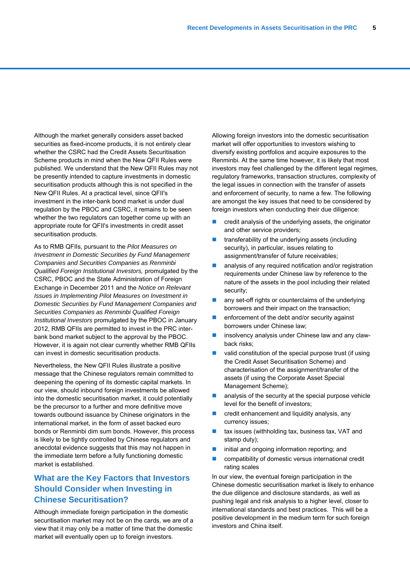Although the market generally considers asset backed securities as fixed-income products, it is not entirely clear whether the CSRC had the Credit Assets Securitisation Scheme products in mind when the New QFII Rules were published. We understand that the New QFII Rules may not be presently intended to capture investments in domestic securitisation products although this is not specified in the New QFII Rules. At a practical level, since QFII's investment in the inter-bank bond market is under dual regulation by the PBOC and CSRC, it remains to be seen whether the two regulators can together come up with an appropriate route for QFII's investments in credit asset securitisation products.

As to RMB QFIIs, pursuant to the *Pilot Measures on Investment in Domestic Securities by Fund Management Companies and Securities Companies as Renminbi Qualified Foreign Institutional Investors,* promulgated by the CSRC, PBOC and the State Administration of Foreign Exchange in December 2011 and the *Notice on Relevant Issues in Implementing Pilot Measures on Investment in Domestic Securities by Fund Management Companies and Securities Companies as Renminbi Qualified Foreign Institutional Investors* promulgated by the PBOC in January 2012, RMB QFIIs are permitted to invest in the PRC interbank bond market subject to the approval by the PBOC. However, it is again not clear currently whether RMB QFIIs can invest in domestic securitisation products.

Nevertheless, the New QFII Rules illustrate a positive message that the Chinese regulators remain committed to deepening the opening of its domestic capital markets. In our view, should inbound foreign investments be allowed into the domestic securitisation market, it could potentially be the precursor to a further and more definitive move towards outbound issuance by Chinese originators in the international market, in the form of asset backed euro bonds or Renminbi dim sum bonds. However, this process is likely to be tightly controlled by Chinese regulators and anecdotal evidence suggests that this may not happen in the immediate term before a fully functioning domestic market is established.

### **What are the Key Factors that Investors Should Consider when Investing in Chinese Securitisation?**

Although immediate foreign participation in the domestic securitisation market may not be on the cards, we are of a view that it may only be a matter of time that the domestic market will eventually open up to foreign investors.

Allowing foreign investors into the domestic securitisation market will offer opportunities to investors wishing to diversify existing portfolios and acquire exposures to the Renminbi. At the same time however, it is likely that most investors may feel challenged by the different legal regimes, regulatory frameworks, transaction structures, complexity of the legal issues in connection with the transfer of assets and enforcement of security, to name a few. The following are amongst the key issues that need to be considered by foreign investors when conducting their due diligence:

- **n** credit analysis of the underlying assets, the originator and other service providers;
- transferability of the underlying assets (including security), in particular, issues relating to assignment/transfer of future receivables;
- analysis of any required notification and/or registration requirements under Chinese law by reference to the nature of the assets in the pool including their related security;
- any set-off rights or counterclaims of the underlying borrowers and their impact on the transaction;
- enforcement of the debt and/or security against borrowers under Chinese law;
- **n** insolvency analysis under Chinese law and any clawback risks;
- valid constitution of the special purpose trust (if using the Credit Asset Securitisation Scheme) and characterisation of the assignment/transfer of the assets (if using the Corporate Asset Special Management Scheme);
- analysis of the security at the special purpose vehicle level for the benefit of investors;
- $\blacksquare$  credit enhancement and liquidity analysis, any currency issues;
- tax issues (withholding tax, business tax, VAT and stamp duty);
- initial and ongoing information reporting; and
- compatibility of domestic versus international credit rating scales

In our view, the eventual foreign participation in the Chinese domestic securitisation market is likely to enhance the due diligence and disclosure standards, as well as pushing legal and risk analysis to a higher level, closer to international standards and best practices. This will be a positive development in the medium term for such foreign investors and China itself.